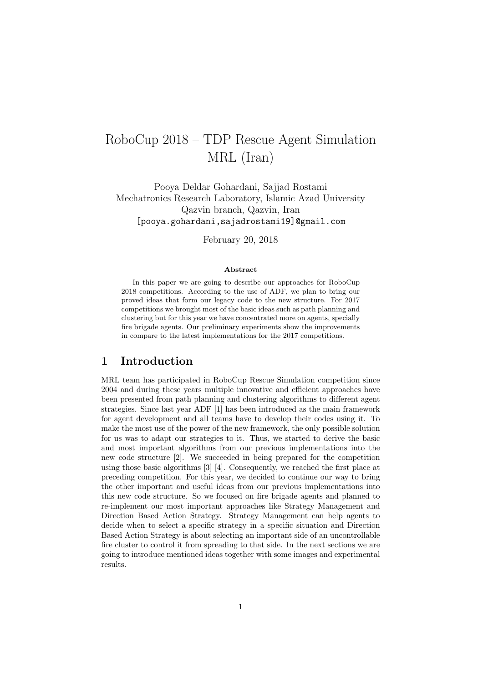# RoboCup 2018 – TDP Rescue Agent Simulation MRL (Iran)

Pooya Deldar Gohardani, Sajjad Rostami Mechatronics Research Laboratory, Islamic Azad University Qazvin branch, Qazvin, Iran [pooya.gohardani,sajadrostami19]@gmail.com

February 20, 2018

#### Abstract

In this paper we are going to describe our approaches for RoboCup 2018 competitions. According to the use of ADF, we plan to bring our proved ideas that form our legacy code to the new structure. For 2017 competitions we brought most of the basic ideas such as path planning and clustering but for this year we have concentrated more on agents, specially fire brigade agents. Our preliminary experiments show the improvements in compare to the latest implementations for the 2017 competitions.

#### 1 Introduction

MRL team has participated in RoboCup Rescue Simulation competition since 2004 and during these years multiple innovative and efficient approaches have been presented from path planning and clustering algorithms to different agent strategies. Since last year ADF [1] has been introduced as the main framework for agent development and all teams have to develop their codes using it. To make the most use of the power of the new framework, the only possible solution for us was to adapt our strategies to it. Thus, we started to derive the basic and most important algorithms from our previous implementations into the new code structure [2]. We succeeded in being prepared for the competition using those basic algorithms [3] [4]. Consequently, we reached the first place at preceding competition. For this year, we decided to continue our way to bring the other important and useful ideas from our previous implementations into this new code structure. So we focused on fire brigade agents and planned to re-implement our most important approaches like Strategy Management and Direction Based Action Strategy. Strategy Management can help agents to decide when to select a specific strategy in a specific situation and Direction Based Action Strategy is about selecting an important side of an uncontrollable fire cluster to control it from spreading to that side. In the next sections we are going to introduce mentioned ideas together with some images and experimental results.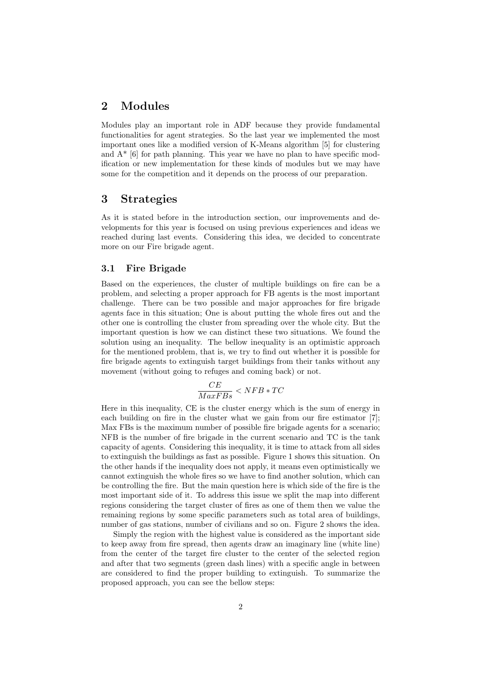### 2 Modules

Modules play an important role in ADF because they provide fundamental functionalities for agent strategies. So the last year we implemented the most important ones like a modified version of K-Means algorithm [5] for clustering and  $A^*$  [6] for path planning. This year we have no plan to have specific modification or new implementation for these kinds of modules but we may have some for the competition and it depends on the process of our preparation.

#### 3 Strategies

As it is stated before in the introduction section, our improvements and developments for this year is focused on using previous experiences and ideas we reached during last events. Considering this idea, we decided to concentrate more on our Fire brigade agent.

#### 3.1 Fire Brigade

Based on the experiences, the cluster of multiple buildings on fire can be a problem, and selecting a proper approach for FB agents is the most important challenge. There can be two possible and major approaches for fire brigade agents face in this situation; One is about putting the whole fires out and the other one is controlling the cluster from spreading over the whole city. But the important question is how we can distinct these two situations. We found the solution using an inequality. The bellow inequality is an optimistic approach for the mentioned problem, that is, we try to find out whether it is possible for fire brigade agents to extinguish target buildings from their tanks without any movement (without going to refuges and coming back) or not.

$$
\frac{CE}{MaxFBs}
$$

Here in this inequality, CE is the cluster energy which is the sum of energy in each building on fire in the cluster what we gain from our fire estimator [7]; Max FBs is the maximum number of possible fire brigade agents for a scenario; NFB is the number of fire brigade in the current scenario and TC is the tank capacity of agents. Considering this inequality, it is time to attack from all sides to extinguish the buildings as fast as possible. Figure 1 shows this situation. On the other hands if the inequality does not apply, it means even optimistically we cannot extinguish the whole fires so we have to find another solution, which can be controlling the fire. But the main question here is which side of the fire is the most important side of it. To address this issue we split the map into different regions considering the target cluster of fires as one of them then we value the remaining regions by some specific parameters such as total area of buildings, number of gas stations, number of civilians and so on. Figure 2 shows the idea.

Simply the region with the highest value is considered as the important side to keep away from fire spread, then agents draw an imaginary line (white line) from the center of the target fire cluster to the center of the selected region and after that two segments (green dash lines) with a specific angle in between are considered to find the proper building to extinguish. To summarize the proposed approach, you can see the bellow steps: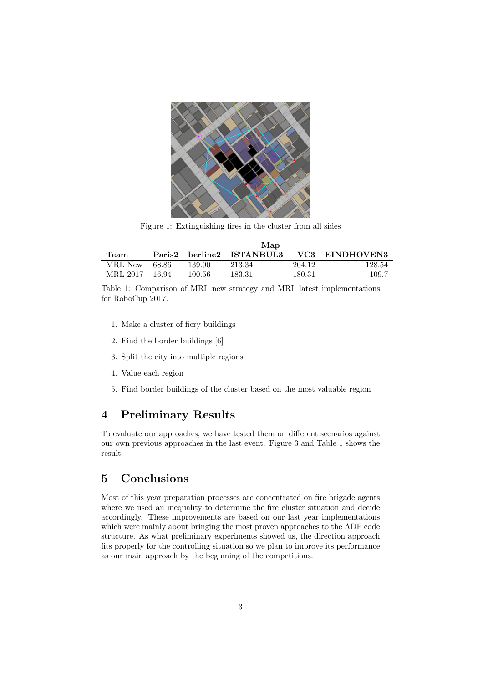

Figure 1: Extinguishing fires in the cluster from all sides

|          | Map    |          |                  |        |            |
|----------|--------|----------|------------------|--------|------------|
| Team     | Paris2 | berline2 | <b>ISTANBUL3</b> | VC3    | EINDHOVEN3 |
| MRL New  | 68.86  | 139.90   | 213.34           | 204.12 | 128.54     |
| MRL 2017 | 16.94  | 100.56   | 183.31           | 180.31 | 109.7      |

Table 1: Comparison of MRL new strategy and MRL latest implementations for RoboCup 2017.

- 1. Make a cluster of fiery buildings
- 2. Find the border buildings [6]
- 3. Split the city into multiple regions
- 4. Value each region
- 5. Find border buildings of the cluster based on the most valuable region

## 4 Preliminary Results

To evaluate our approaches, we have tested them on different scenarios against our own previous approaches in the last event. Figure 3 and Table 1 shows the result.

## 5 Conclusions

Most of this year preparation processes are concentrated on fire brigade agents where we used an inequality to determine the fire cluster situation and decide accordingly. These improvements are based on our last year implementations which were mainly about bringing the most proven approaches to the ADF code structure. As what preliminary experiments showed us, the direction approach fits properly for the controlling situation so we plan to improve its performance as our main approach by the beginning of the competitions.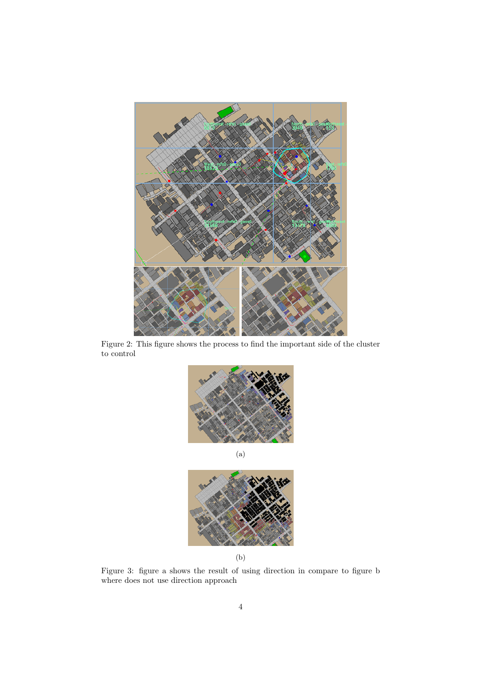

Figure 2: This figure shows the process to find the important side of the cluster to control





(b)

Figure 3: figure a shows the result of using direction in compare to figure b where does not use direction approach